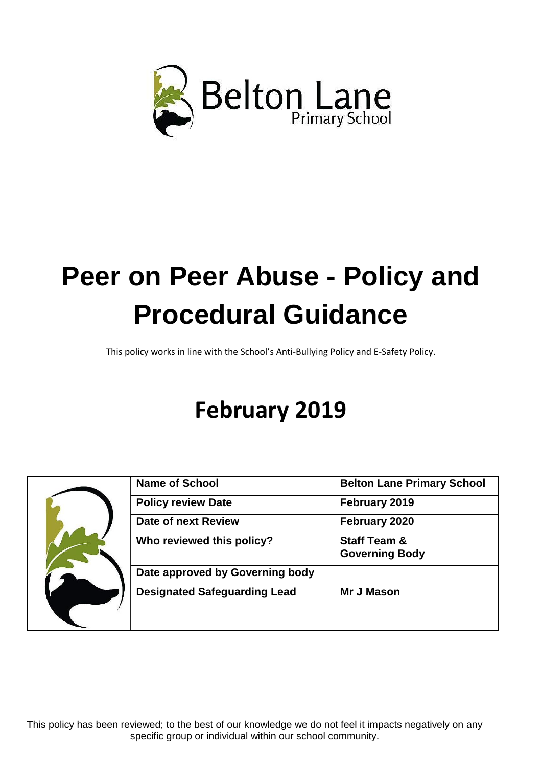

This policy works in line with the School's Anti-Bullying Policy and E-Safety Policy.

# **February 2019**

|  | <b>Name of School</b>               | <b>Belton Lane Primary School</b>                |
|--|-------------------------------------|--------------------------------------------------|
|  | <b>Policy review Date</b>           | February 2019                                    |
|  | Date of next Review                 | February 2020                                    |
|  | Who reviewed this policy?           | <b>Staff Team &amp;</b><br><b>Governing Body</b> |
|  | Date approved by Governing body     |                                                  |
|  | <b>Designated Safeguarding Lead</b> | <b>Mr J Mason</b>                                |

This policy has been reviewed; to the best of our knowledge we do not feel it impacts negatively on any specific group or individual within our school community.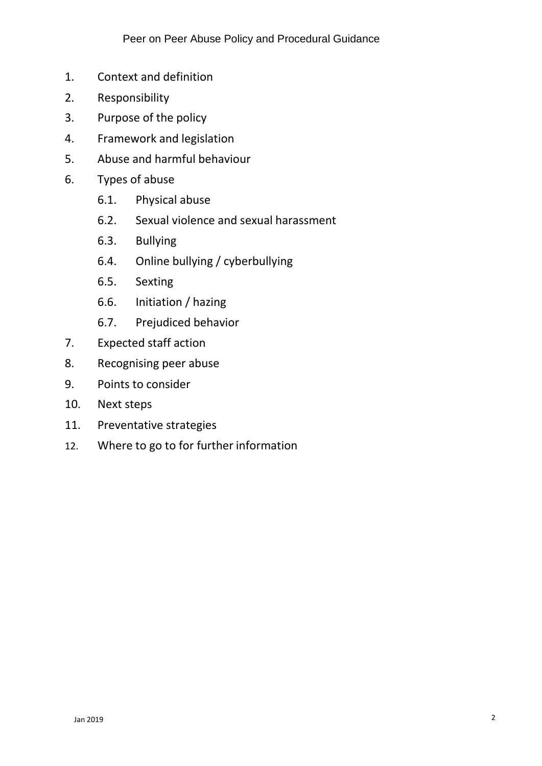- 1. Context and definition
- 2. Responsibility
- 3. Purpose of the policy
- 4. Framework and legislation
- 5. Abuse and harmful behaviour
- 6. Types of abuse
	- 6.1. Physical abuse
	- 6.2. Sexual violence and sexual harassment
	- 6.3. Bullying
	- 6.4. Online bullying / cyberbullying
	- 6.5. Sexting
	- 6.6. Initiation / hazing
	- 6.7. Prejudiced behavior
- 7. Expected staff action
- 8. Recognising peer abuse
- 9. Points to consider
- 10. Next steps
- 11. Preventative strategies
- 12. Where to go to for further information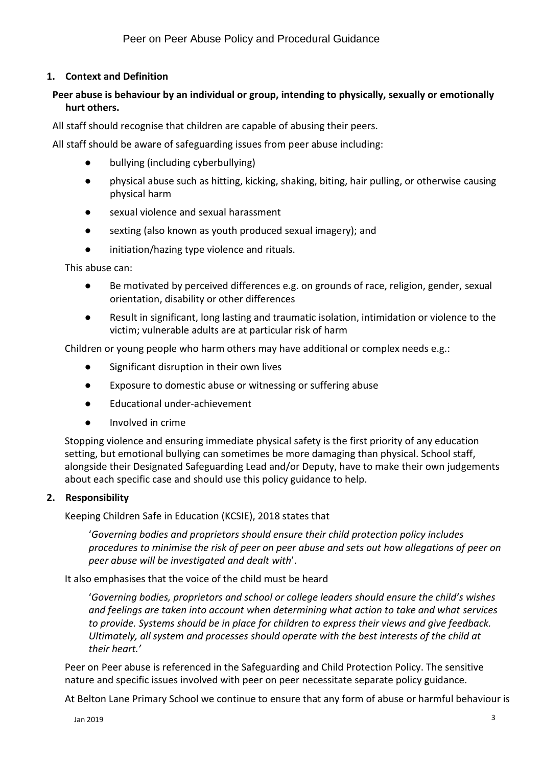# **1. Context and Definition**

# **Peer abuse is behaviour by an individual or group, intending to physically, sexually or emotionally hurt others.**

All staff should recognise that children are capable of abusing their peers.

All staff should be aware of safeguarding issues from peer abuse including:

- bullying (including cyberbullying)
- physical abuse such as hitting, kicking, shaking, biting, hair pulling, or otherwise causing physical harm
- sexual violence and sexual harassment
- sexting (also known as youth produced sexual imagery); and
- initiation/hazing type violence and rituals.

This abuse can:

- Be motivated by perceived differences e.g. on grounds of race, religion, gender, sexual orientation, disability or other differences
- Result in significant, long lasting and traumatic isolation, intimidation or violence to the victim; vulnerable adults are at particular risk of harm

Children or young people who harm others may have additional or complex needs e.g.:

- Significant disruption in their own lives
- Exposure to domestic abuse or witnessing or suffering abuse
- Educational under-achievement
- Involved in crime

Stopping violence and ensuring immediate physical safety is the first priority of any education setting, but emotional bullying can sometimes be more damaging than physical. School staff, alongside their Designated Safeguarding Lead and/or Deputy, have to make their own judgements about each specific case and should use this policy guidance to help.

### **2. Responsibility**

Keeping Children Safe in Education (KCSIE), 2018 states that

'*Governing bodies and proprietors should ensure their child protection policy includes procedures to minimise the risk of peer on peer abuse and sets out how allegations of peer on peer abuse will be investigated and dealt with*'.

It also emphasises that the voice of the child must be heard

'*Governing bodies, proprietors and school or college leaders should ensure the child's wishes and feelings are taken into account when determining what action to take and what services to provide. Systems should be in place for children to express their views and give feedback. Ultimately, all system and processes should operate with the best interests of the child at their heart.'*

Peer on Peer abuse is referenced in the Safeguarding and Child Protection Policy. The sensitive nature and specific issues involved with peer on peer necessitate separate policy guidance.

At Belton Lane Primary School we continue to ensure that any form of abuse or harmful behaviour is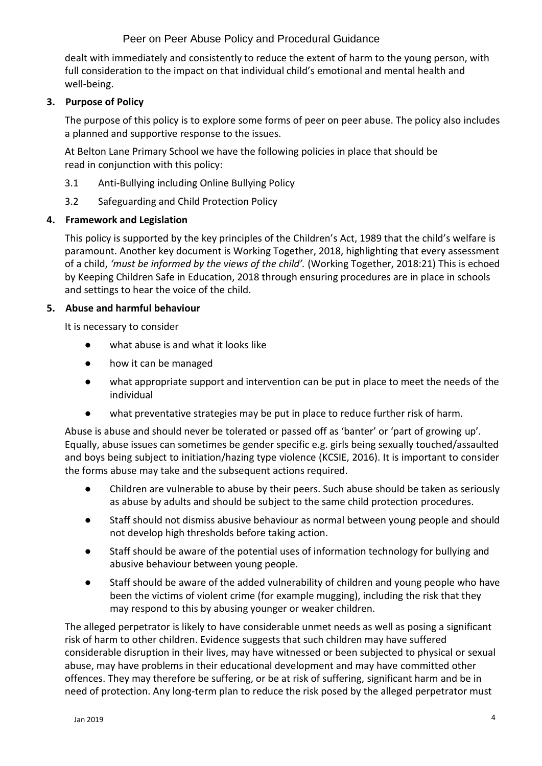dealt with immediately and consistently to reduce the extent of harm to the young person, with full consideration to the impact on that individual child's emotional and mental health and well-being.

# **3. Purpose of Policy**

The purpose of this policy is to explore some forms of peer on peer abuse. The policy also includes a planned and supportive response to the issues.

At Belton Lane Primary School we have the following policies in place that should be read in conjunction with this policy:

- 3.1 Anti-Bullying including Online Bullying Policy
- 3.2 Safeguarding and Child Protection Policy

### **4. Framework and Legislation**

This policy is supported by the key principles of the Children's Act, 1989 that the child's welfare is paramount. Another key document is Working Together, 2018, highlighting that every assessment of a child, *'must be informed by the views of the child'.* (Working Together, 2018:21) This is echoed by Keeping Children Safe in Education, 2018 through ensuring procedures are in place in schools and settings to hear the voice of the child.

### **5. Abuse and harmful behaviour**

It is necessary to consider

- what abuse is and what it looks like
- how it can be managed
- what appropriate support and intervention can be put in place to meet the needs of the individual
- what preventative strategies may be put in place to reduce further risk of harm.

Abuse is abuse and should never be tolerated or passed off as 'banter' or 'part of growing up'. Equally, abuse issues can sometimes be gender specific e.g. girls being sexually touched/assaulted and boys being subject to initiation/hazing type violence (KCSIE, 2016). It is important to consider the forms abuse may take and the subsequent actions required.

- Children are vulnerable to abuse by their peers. Such abuse should be taken as seriously as abuse by adults and should be subject to the same child protection procedures.
- Staff should not dismiss abusive behaviour as normal between young people and should not develop high thresholds before taking action.
- Staff should be aware of the potential uses of information technology for bullying and abusive behaviour between young people.
- Staff should be aware of the added vulnerability of children and young people who have been the victims of violent crime (for example mugging), including the risk that they may respond to this by abusing younger or weaker children.

The alleged perpetrator is likely to have considerable unmet needs as well as posing a significant risk of harm to other children. Evidence suggests that such children may have suffered considerable disruption in their lives, may have witnessed or been subjected to physical or [sexual](http://trixresources.proceduresonline.com/nat_key/keywords/sexual_abuse.html) [abuse,](http://trixresources.proceduresonline.com/nat_key/keywords/sexual_abuse.html) may have problems in their educational development and may have committed other offences. They may therefore be suffering, or be at risk of suffering, [significant harm a](http://trixresources.proceduresonline.com/nat_key/keywords/significant_harm.html)nd be in need of protection. Any long-term plan to reduce the risk posed by the alleged perpetrator must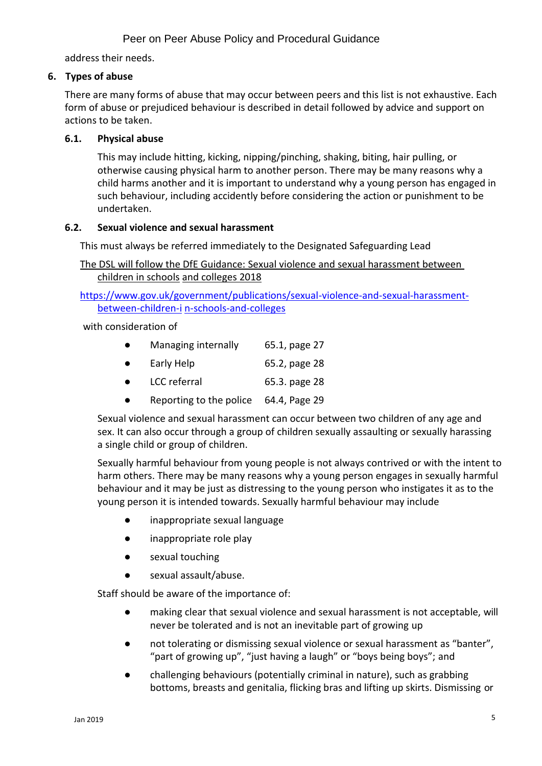address their needs.

# **6. Types of abuse**

There are many forms of abuse that may occur between peers and this list is not exhaustive. Each form of abuse or prejudiced behaviour is described in detail followed by advice and support on actions to be taken.

# **6.1. Physical abuse**

This may include hitting, kicking, nipping/pinching, shaking, biting, hair pulling, or otherwise causing physical harm to another person. There may be many reasons why a child harms another and it is important to understand why a young person has engaged in such behaviour, including accidently before considering the action or punishment to be undertaken.

### **6.2. Sexual violence and sexual harassment**

This must always be referred immediately to the Designated Safeguarding Lead

The DSL will follow the DfE Guidance: [Sexual violence and sexual harassment between](https://www.gov.uk/government/uploads/system/uploads/attachment_data/file/719902/Sexual_violence_and_sexual_harassment_between_children_in_schools_and_colleges.pdf)  [children in schools](https://www.gov.uk/government/uploads/system/uploads/attachment_data/file/719902/Sexual_violence_and_sexual_harassment_between_children_in_schools_and_colleges.pdf) [and colleges](https://www.gov.uk/government/uploads/system/uploads/attachment_data/file/719902/Sexual_violence_and_sexual_harassment_between_children_in_schools_and_colleges.pdf) 2018

[https://www.gov.uk/government/publications/sexual-violence-and-sexual-harassment](https://www.gov.uk/government/publications/sexual-violence-and-sexual-harassment-between-children-in-schools-and-colleges)[between-children-i](https://www.gov.uk/government/publications/sexual-violence-and-sexual-harassment-between-children-in-schools-and-colleges) [n-schools-and-colleges](https://www.gov.uk/government/publications/sexual-violence-and-sexual-harassment-between-children-in-schools-and-colleges)

with consideration of

|  | Managing internally | 65.1, page 27 |
|--|---------------------|---------------|
|--|---------------------|---------------|

| Early Help | 65.2, page 28 |  |
|------------|---------------|--|
|------------|---------------|--|

- LCC referral 65.3. page 28
- Reporting to the police 64.4, Page 29

Sexual violence and sexual harassment can occur between two children of any age and sex. It can also occur through a group of children sexually assaulting or sexually harassing a single child or group of children.

Sexually harmful behaviour from young people is not always contrived or with the intent to harm others. There may be many reasons why a young person engages in sexually harmful behaviour and it may be just as distressing to the young person who instigates it as to the young person it is intended towards. Sexually harmful behaviour may include

- inappropriate sexual language
- inappropriate role play
- sexual touching
- sexual assault/abuse.

Staff should be aware of the importance of:

- making clear that sexual violence and sexual harassment is not acceptable, will never be tolerated and is not an inevitable part of growing up
- not tolerating or dismissing sexual violence or sexual harassment as "banter", "part of growing up", "just having a laugh" or "boys being boys"; and
- challenging behaviours (potentially criminal in nature), such as grabbing bottoms, breasts and genitalia, flicking bras and lifting up skirts. Dismissing or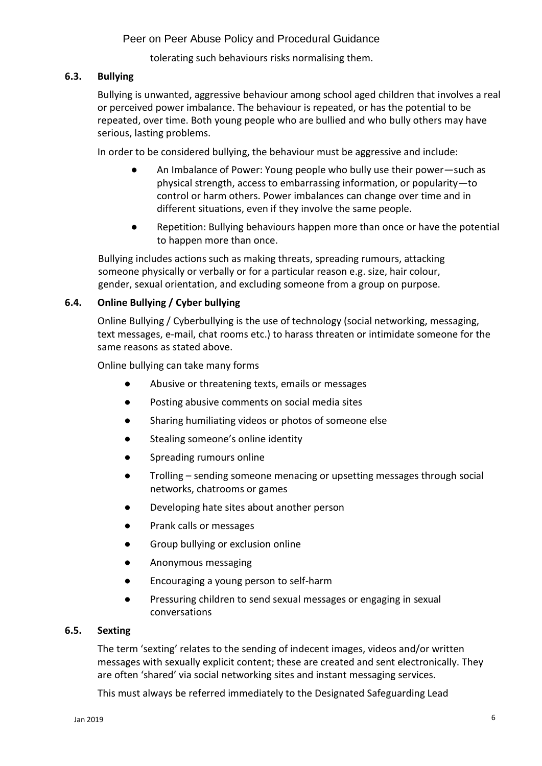tolerating such behaviours risks normalising them.

# **6.3. Bullying**

Bullying is unwanted, aggressive behaviour among school aged children that involves a real or perceived power imbalance. The behaviour is repeated, or has the potential to be repeated, over time. Both young people who are bullied and who bully others may have serious, lasting problems.

In order to be considered bullying, the behaviour must be aggressive and include:

- An Imbalance of Power: Young people who bully use their power—such as physical strength, access to embarrassing information, or popularity—to control or harm others. Power imbalances can change over time and in different situations, even if they involve the same people.
- Repetition: Bullying behaviours happen more than once or have the potential to happen more than once.

Bullying includes actions such as making threats, spreading rumours, attacking someone physically or verbally or for a particular reason e.g. size, hair colour, gender, sexual orientation, and excluding someone from a group on purpose.

# **6.4. Online Bullying / Cyber bullying**

Online Bullying / Cyberbullying is the use of technology (social networking, messaging, text messages, e-mail, chat rooms etc.) to harass threaten or intimidate someone for the same reasons as stated above.

Online bullying can take many forms

- Abusive or threatening texts, emails or messages
- Posting abusive comments on social media sites
- Sharing humiliating videos or photos of someone else
- Stealing someone's online identity
- Spreading rumours online
- Trolling sending someone menacing or upsetting messages through social networks, chatrooms or games
- Developing hate sites about another person
- Prank calls or messages
- Group bullying or exclusion online
- Anonymous messaging
- Encouraging a young person to self-harm
- Pressuring children to send sexual messages or engaging in sexual conversations

## **6.5. Sexting**

The term 'sexting' relates to the sending of indecent images, videos and/or written messages with sexually explicit content; these are created and sent electronically. They are often 'shared' via social networking sites and instant messaging services.

This must always be referred immediately to the Designated Safeguarding Lead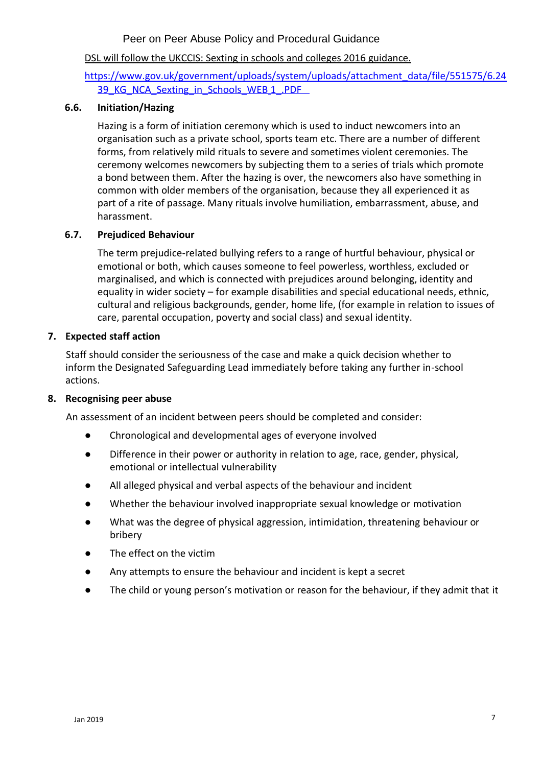# DSL will follow the UKCCIS: Sexting in schools and colleges 2016 guidance.

# [https://www.gov.uk/government/uploads/system/uploads/attachment\\_data/file/551575/6.24](https://www.gov.uk/government/uploads/system/uploads/attachment_data/file/551575/6.2439_KG_NCA_Sexting_in_Schools_WEB__1_.PDF) [39\\_KG\\_NCA\\_Sexting\\_in\\_Schools\\_WEB](https://www.gov.uk/government/uploads/system/uploads/attachment_data/file/551575/6.2439_KG_NCA_Sexting_in_Schools_WEB__1_.PDF) 1\_.PDF

### **6.6. Initiation/Hazing**

Hazing is a form of initiation ceremony which is used to induct newcomers into an organisation such as a private school, sports team etc. There are a number of different forms, from relatively mild rituals to severe and sometimes violent ceremonies. The ceremony welcomes newcomers by subjecting them to a series of trials which promote a bond between them. After the hazing is over, the newcomers also have something in common with older members of the organisation, because they all experienced it as part of a rite of passage. Many rituals involve humiliation, embarrassment, abuse, and harassment.

### **6.7. Prejudiced Behaviour**

The term prejudice-related bullying refers to a range of hurtful behaviour, physical or emotional or both, which causes someone to feel powerless, worthless, excluded or marginalised, and which is connected with prejudices around belonging, identity and equality in wider society – for example disabilities and special educational needs, ethnic, cultural and religious backgrounds, gender, home life, (for example in relation to issues of care, parental occupation, poverty and social class) and sexual identity.

### **7. Expected staff action**

Staff should consider the seriousness of the case and make a quick decision whether to inform the Designated Safeguarding Lead immediately before taking any further in-school actions.

### **8. Recognising peer abuse**

An assessment of an incident between peers should be completed and consider:

- Chronological and developmental ages of everyone involved
- Difference in their power or authority in relation to age, race, gender, physical, emotional or intellectual vulnerability
- All alleged physical and verbal aspects of the behaviour and incident
- Whether the behaviour involved inappropriate sexual knowledge or motivation
- What was the degree of physical aggression, intimidation, threatening behaviour or bribery
- The effect on the victim
- Any attempts to ensure the behaviour and incident is kept a secret
- The child or young person's motivation or reason for the behaviour, if they admit that it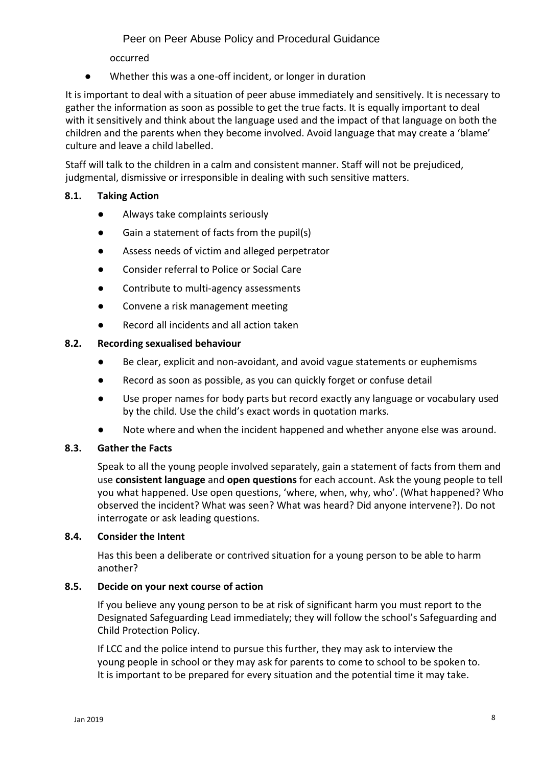occurred

Whether this was a one-off incident, or longer in duration

It is important to deal with a situation of peer abuse immediately and sensitively. It is necessary to gather the information as soon as possible to get the true facts. It is equally important to deal with it sensitively and think about the language used and the impact of that language on both the children and the parents when they become involved. Avoid language that may create a 'blame' culture and leave a child labelled.

Staff will talk to the children in a calm and consistent manner. Staff will not be prejudiced, judgmental, dismissive or irresponsible in dealing with such sensitive matters.

# **8.1. Taking Action**

- Always take complaints seriously
- Gain a statement of facts from the pupil(s)
- Assess needs of victim and alleged perpetrator
- Consider referral to Police or Social Care
- Contribute to multi-agency assessments
- Convene a risk management meeting
- Record all incidents and all action taken

# **8.2. Recording sexualised behaviour**

- Be clear, explicit and non-avoidant, and avoid vague statements or euphemisms
- Record as soon as possible, as you can quickly forget or confuse detail
- Use proper names for body parts but record exactly any language or vocabulary used by the child. Use the child's exact words in quotation marks.
- Note where and when the incident happened and whether anyone else was around.

# **8.3. Gather the Facts**

Speak to all the young people involved separately, gain a statement of facts from them and use **consistent language** and **open questions** for each account. Ask the young people to tell you what happened. Use open questions, 'where, when, why, who'. (What happened? Who observed the incident? What was seen? What was heard? Did anyone intervene?). Do not interrogate or ask leading questions.

### **8.4. Consider the Intent**

Has this been a deliberate or contrived situation for a young person to be able to harm another?

### **8.5. Decide on your next course of action**

If you believe any young person to be at risk of significant harm you must report to the Designated Safeguarding Lead immediately; they will follow the school's Safeguarding and Child Protection Policy.

If LCC and the police intend to pursue this further, they may ask to interview the young people in school or they may ask for parents to come to school to be spoken to. It is important to be prepared for every situation and the potential time it may take.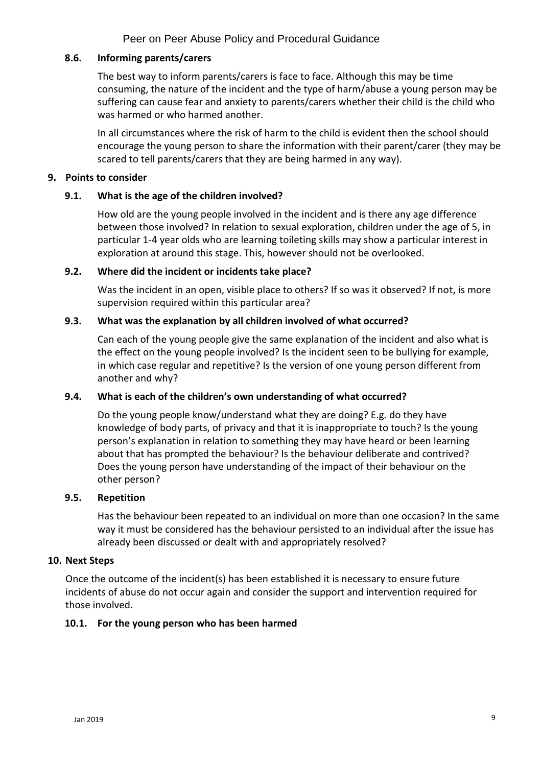### **8.6. Informing parents/carers**

The best way to inform parents/carers is face to face. Although this may be time consuming, the nature of the incident and the type of harm/abuse a young person may be suffering can cause fear and anxiety to parents/carers whether their child is the child who was harmed or who harmed another.

In all circumstances where the risk of harm to the child is evident then the school should encourage the young person to share the information with their parent/carer (they may be scared to tell parents/carers that they are being harmed in any way).

### **9. Points to consider**

# **9.1. What is the age of the children involved?**

How old are the young people involved in the incident and is there any age difference between those involved? In relation to sexual exploration, children under the age of 5, in particular 1-4 year olds who are learning toileting skills may show a particular interest in exploration at around this stage. This, however should not be overlooked.

### **9.2. Where did the incident or incidents take place?**

Was the incident in an open, visible place to others? If so was it observed? If not, is more supervision required within this particular area?

# **9.3. What was the explanation by all children involved of what occurred?**

Can each of the young people give the same explanation of the incident and also what is the effect on the young people involved? Is the incident seen to be bullying for example, in which case regular and repetitive? Is the version of one young person different from another and why?

### **9.4. What is each of the children's own understanding of what occurred?**

Do the young people know/understand what they are doing? E.g. do they have knowledge of body parts, of privacy and that it is inappropriate to touch? Is the young person's explanation in relation to something they may have heard or been learning about that has prompted the behaviour? Is the behaviour deliberate and contrived? Does the young person have understanding of the impact of their behaviour on the other person?

### **9.5. Repetition**

Has the behaviour been repeated to an individual on more than one occasion? In the same way it must be considered has the behaviour persisted to an individual after the issue has already been discussed or dealt with and appropriately resolved?

### **10. Next Steps**

Once the outcome of the incident(s) has been established it is necessary to ensure future incidents of abuse do not occur again and consider the support and intervention required for those involved.

# **10.1. For the young person who has been harmed**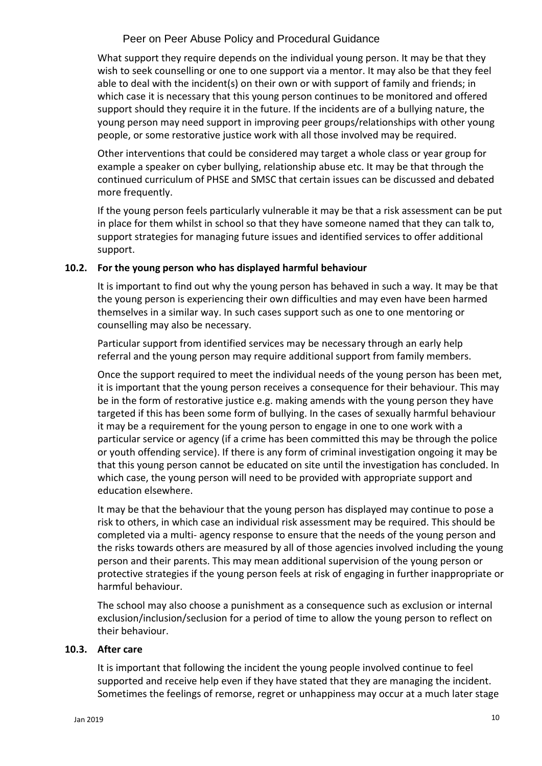What support they require depends on the individual young person. It may be that they wish to seek counselling or one to one support via a mentor. It may also be that they feel able to deal with the incident(s) on their own or with support of family and friends; in which case it is necessary that this young person continues to be monitored and offered support should they require it in the future. If the incidents are of a bullying nature, the young person may need support in improving peer groups/relationships with other young people, or some restorative justice work with all those involved may be required.

Other interventions that could be considered may target a whole class or year group for example a speaker on cyber bullying, relationship abuse etc. It may be that through the continued curriculum of PHSE and SMSC that certain issues can be discussed and debated more frequently.

If the young person feels particularly vulnerable it may be that a risk assessment can be put in place for them whilst in school so that they have someone named that they can talk to, support strategies for managing future issues and identified services to offer additional support.

# **10.2. For the young person who has displayed harmful behaviour**

It is important to find out why the young person has behaved in such a way. It may be that the young person is experiencing their own difficulties and may even have been harmed themselves in a similar way. In such cases support such as one to one mentoring or counselling may also be necessary.

Particular support from identified services may be necessary through an early help referral and the young person may require additional support from family members.

Once the support required to meet the individual needs of the young person has been met, it is important that the young person receives a consequence for their behaviour. This may be in the form of restorative justice e.g. making amends with the young person they have targeted if this has been some form of bullying. In the cases of sexually harmful behaviour it may be a requirement for the young person to engage in one to one work with a particular service or agency (if a crime has been committed this may be through the police or youth offending service). If there is any form of criminal investigation ongoing it may be that this young person cannot be educated on site until the investigation has concluded. In which case, the young person will need to be provided with appropriate support and education elsewhere.

It may be that the behaviour that the young person has displayed may continue to pose a risk to others, in which case an individual risk assessment may be required. This should be completed via a multi- agency response to ensure that the needs of the young person and the risks towards others are measured by all of those agencies involved including the young person and their parents. This may mean additional supervision of the young person or protective strategies if the young person feels at risk of engaging in further inappropriate or harmful behaviour.

The school may also choose a punishment as a consequence such as exclusion or internal exclusion/inclusion/seclusion for a period of time to allow the young person to reflect on their behaviour.

### **10.3. After care**

It is important that following the incident the young people involved continue to feel supported and receive help even if they have stated that they are managing the incident. Sometimes the feelings of remorse, regret or unhappiness may occur at a much later stage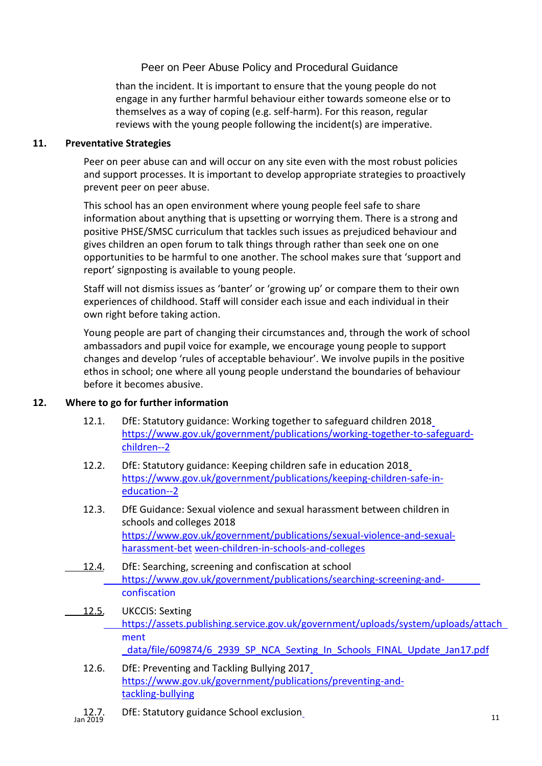than the incident. It is important to ensure that the young people do not engage in any further harmful behaviour either towards someone else or to themselves as a way of coping (e.g. self-harm). For this reason, regular reviews with the young people following the incident(s) are imperative.

### **11. Preventative Strategies**

Peer on peer abuse can and will occur on any site even with the most robust policies and support processes. It is important to develop appropriate strategies to proactively prevent peer on peer abuse.

This school has an open environment where young people feel safe to share information about anything that is upsetting or worrying them. There is a strong and positive PHSE/SMSC curriculum that tackles such issues as prejudiced behaviour and gives children an open forum to talk things through rather than seek one on one opportunities to be harmful to one another. The school makes sure that 'support and report' signposting is available to young people.

Staff will not dismiss issues as 'banter' or 'growing up' or compare them to their own experiences of childhood. Staff will consider each issue and each individual in their own right before taking action.

Young people are part of changing their circumstances and, through the work of school ambassadors and pupil voice for example, we encourage young people to support changes and develop 'rules of acceptable behaviour'. We involve pupils in the positive ethos in school; one where all young people understand the boundaries of behaviour before it becomes abusive.

# **12. Where to go for further information**

- 12.1. DfE: Statutory guidance: Working together to safeguard children 2018 [https://www.gov.uk/government/publications/working-together-to-safeguard](https://www.gov.uk/government/publications/working-together-to-safeguard-children--2)[children--2](https://www.gov.uk/government/publications/working-together-to-safeguard-children--2)
- 12.2. DfE: Statutory guidance: Keeping children safe in education 2018 [https://www.gov.uk/government/publications/keeping-children-safe-in](https://www.gov.uk/government/publications/keeping-children-safe-in-education--2)[education--2](https://www.gov.uk/government/publications/keeping-children-safe-in-education--2)
- 12.3. DfE Guidance: [Sexual violence and sexual harassment between children in](https://www.gov.uk/government/uploads/system/uploads/attachment_data/file/719902/Sexual_violence_and_sexual_harassment_between_children_in_schools_and_colleges.pdf)  [schools and](https://www.gov.uk/government/uploads/system/uploads/attachment_data/file/719902/Sexual_violence_and_sexual_harassment_between_children_in_schools_and_colleges.pdf) [colleges 2](https://www.gov.uk/government/uploads/system/uploads/attachment_data/file/719902/Sexual_violence_and_sexual_harassment_between_children_in_schools_and_colleges.pdf)018 [https://www.gov.uk/government/publications/sexual-violence-and-sexual](https://www.gov.uk/government/publications/sexual-violence-and-sexual-harassment-between-children-in-schools-and-colleges)[harassment-bet](https://www.gov.uk/government/publications/sexual-violence-and-sexual-harassment-between-children-in-schools-and-colleges) [ween-children-in-schools-and-colleges](https://www.gov.uk/government/publications/sexual-violence-and-sexual-harassment-between-children-in-schools-and-colleges)
- 12.4. DfE: Searching, screening and confiscation at school [https://www.gov.uk/government/publications/searching-screening-and](https://www.gov.uk/government/publications/searching-screening-and-confiscation)[confiscation](https://www.gov.uk/government/publications/searching-screening-and-confiscation)
- 12.5. UKCCIS: Sexting [https://assets.publishing.service.gov.uk/government/uploads/system/uploads/attach](https://assets.publishing.service.gov.uk/government/uploads/system/uploads/attachment_data/file/609874/6_2939_SP_NCA_Sexting_In_Schools_FINAL_Update_Jan17.pdf) [ment](https://assets.publishing.service.gov.uk/government/uploads/system/uploads/attachment_data/file/609874/6_2939_SP_NCA_Sexting_In_Schools_FINAL_Update_Jan17.pdf) data/file/609874/6\_2939\_SP\_NCA\_Sexting\_In\_Schools\_FINAL\_Update\_Jan17.pdf
	- 12.6. DfE: Preventing and Tackling Bullying 2017 [https://www.gov.uk/government/publications/preventing-and](https://www.gov.uk/government/publications/preventing-and-tackling-bullying)[tackling-bullying](https://www.gov.uk/government/publications/preventing-and-tackling-bullying)
- 12.7. DfE: Statutory guidance School exclusion\_ 11 and 2019 11 and 2019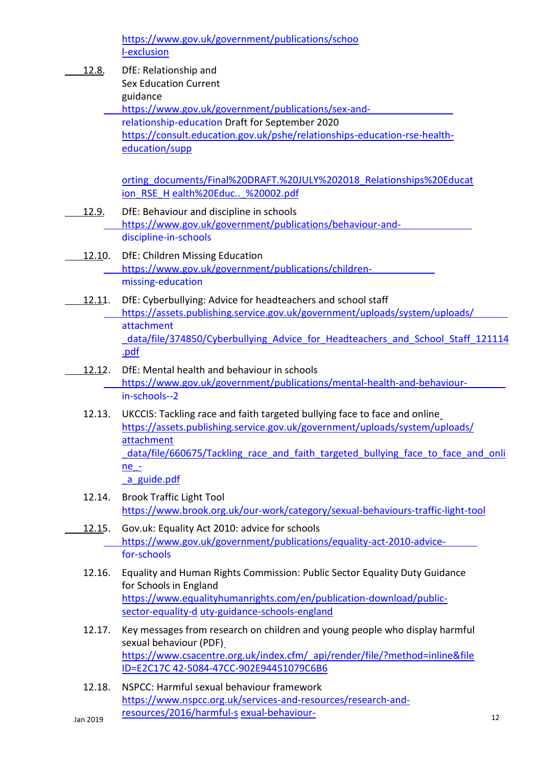[https://www.gov.uk/government/publications/schoo](https://www.gov.uk/government/publications/school-exclusion) [l-exclusion](https://www.gov.uk/government/publications/school-exclusion)

12.8. DfE: Relationship and Sex Education Current guidance [https://www.gov.uk/government/publications/sex-and](https://www.gov.uk/government/publications/sex-and-relationship-education)[relationship-education](https://www.gov.uk/government/publications/sex-and-relationship-education) Draft for September 2020 [https://consult.education.gov.uk/pshe/relationships-education-rse-health](https://consult.education.gov.uk/pshe/relationships-education-rse-health-education/supporting_documents/Final%20DRAFT.%20JULY%202018_Relationships%20Education_RSE_Health%20Educ.._%20002.pdf)[education/supp](https://consult.education.gov.uk/pshe/relationships-education-rse-health-education/supporting_documents/Final%20DRAFT.%20JULY%202018_Relationships%20Education_RSE_Health%20Educ.._%20002.pdf) [orting\\_documents/Final%20DRAFT.%20JULY%202018\\_Relationships%20Educat](https://consult.education.gov.uk/pshe/relationships-education-rse-health-education/supporting_documents/Final%20DRAFT.%20JULY%202018_Relationships%20Education_RSE_Health%20Educ.._%20002.pdf) [ion\\_RSE\\_H](https://consult.education.gov.uk/pshe/relationships-education-rse-health-education/supporting_documents/Final%20DRAFT.%20JULY%202018_Relationships%20Education_RSE_Health%20Educ.._%20002.pdf) [ealth%20Educ..\\_%20002.pdf](https://consult.education.gov.uk/pshe/relationships-education-rse-health-education/supporting_documents/Final%20DRAFT.%20JULY%202018_Relationships%20Education_RSE_Health%20Educ.._%20002.pdf) 12.9. DfE: Behaviour and discipline in schools [https://www.gov.uk/government/publications/behaviour-and](https://www.gov.uk/government/publications/behaviour-and-discipline-in-schools)[discipline-in-schools](https://www.gov.uk/government/publications/behaviour-and-discipline-in-schools) 12.10. DfE: Children Missing Education [https://www.gov.uk/government/publications/children](https://www.gov.uk/government/publications/children-missing-education)[missing-education](https://www.gov.uk/government/publications/children-missing-education) 12.11. DfE: Cyberbullying: Advice for headteachers and school staff [https://assets.publishing.service.gov.uk/government/uploads/system/uploads/](https://assets.publishing.service.gov.uk/government/uploads/system/uploads/attachment_data/file/374850/Cyberbullying_Advice_for_Headteachers_and_School_Staff_121114.pdf) [attachment](https://assets.publishing.service.gov.uk/government/uploads/system/uploads/attachment_data/file/374850/Cyberbullying_Advice_for_Headteachers_and_School_Staff_121114.pdf) [\\_data/file/374850/Cyberbullying\\_Advice\\_for\\_Headteachers\\_and\\_School\\_Staff\\_121114](https://assets.publishing.service.gov.uk/government/uploads/system/uploads/attachment_data/file/374850/Cyberbullying_Advice_for_Headteachers_and_School_Staff_121114.pdf) [.pdf](https://assets.publishing.service.gov.uk/government/uploads/system/uploads/attachment_data/file/374850/Cyberbullying_Advice_for_Headteachers_and_School_Staff_121114.pdf) 12.12. DfE: Mental health and behaviour in schools [https://www.gov.uk/government/publications/mental-health-and-behaviour](https://www.gov.uk/government/publications/mental-health-and-behaviour-in-schools--2)[in-schools--2](https://www.gov.uk/government/publications/mental-health-and-behaviour-in-schools--2) 12.13. UKCCIS: Tackling race and faith targeted bullying face to face and online [https://assets.publishing.service.gov.uk/government/uploads/system/uploads/](https://assets.publishing.service.gov.uk/government/uploads/system/uploads/attachment_data/file/660675/Tackling_race_and_faith_targeted_bullying_face_to_face_and_online_-_a_guide.pdf) [attachment](https://assets.publishing.service.gov.uk/government/uploads/system/uploads/attachment_data/file/660675/Tackling_race_and_faith_targeted_bullying_face_to_face_and_online_-_a_guide.pdf) data/file/660675/Tackling race and faith targeted bullying face to face and onli [ne\\_](https://assets.publishing.service.gov.uk/government/uploads/system/uploads/attachment_data/file/660675/Tackling_race_and_faith_targeted_bullying_face_to_face_and_online_-_a_guide.pdf) a guide.pdf 12.14. Brook Traffic Light Tool <https://www.brook.org.uk/our-work/category/sexual-behaviours-traffic-light-tool> 12.15. Gov.uk: Equality Act 2010: advice for schools [https://www.gov.uk/government/publications/equality-act-2010-advice](https://www.gov.uk/government/publications/equality-act-2010-advice-for-schools)[for-schools](https://www.gov.uk/government/publications/equality-act-2010-advice-for-schools) 12.16. Equality and Human Rights Commission: Public Sector Equality Duty Guidance for Schools in England [https://www.equalityhumanrights.com/en/publication-download/public](https://www.equalityhumanrights.com/en/publication-download/public-sector-equality-duty-guidance-schools-england)[sector-equality-d](https://www.equalityhumanrights.com/en/publication-download/public-sector-equality-duty-guidance-schools-england) [uty-guidance-schools-england](https://www.equalityhumanrights.com/en/publication-download/public-sector-equality-duty-guidance-schools-england) 12.17. Key messages from research on children and young people who display harmful sexual behaviour (PDF)

[https://www.csacentre.org.uk/index.cfm/\\_api/render/file/?method=inline&file](https://www.csacentre.org.uk/index.cfm/_api/render/file/?method=inline&fileID=E2C17C42-5084-47CC-902E94451079C6B6) [ID=E2C17C](https://www.csacentre.org.uk/index.cfm/_api/render/file/?method=inline&fileID=E2C17C42-5084-47CC-902E94451079C6B6) [42-5084-47CC-902E94451079C6B6](https://www.csacentre.org.uk/index.cfm/_api/render/file/?method=inline&fileID=E2C17C42-5084-47CC-902E94451079C6B6)

Jan 2019 12 [resources/2016/harmful-s](https://www.nspcc.org.uk/services-and-resources/research-and-resources/2016/harmful-sexual-behaviour-framework/?utm_source=Adestra&utm_medium=email&utm_content=NSPCC%3A%20Harmful%20sexual%20behaviour%20framework&utm_campaign=caspar-newsletter) [exual-behaviour-](https://www.nspcc.org.uk/services-and-resources/research-and-resources/2016/harmful-sexual-behaviour-framework/?utm_source=Adestra&utm_medium=email&utm_content=NSPCC%3A%20Harmful%20sexual%20behaviour%20framework&utm_campaign=caspar-newsletter)<br>Jan 2019 12.18. NSPCC: Harmful sexual behaviour framework [https://www.nspcc.org.uk/services-and-resources/research-and-](https://www.nspcc.org.uk/services-and-resources/research-and-resources/2016/harmful-sexual-behaviour-framework/?utm_source=Adestra&utm_medium=email&utm_content=NSPCC%3A%20Harmful%20sexual%20behaviour%20framework&utm_campaign=caspar-newsletter)